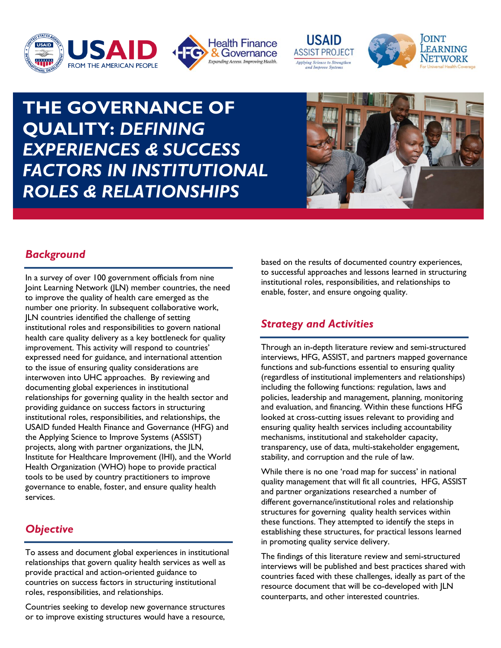



**USAID ASSIST PROJECT** Applying Science to Strengthen ad Improve Syster



# **THE GOVERNANCE OF QUALITY:** *DEFINING EXPERIENCES & SUCCESS FACTORS IN INSTITUTIONAL ROLES & RELATIONSHIPS*



# *Background*

In a survey of over 100 government officials from nine Joint Learning Network (JLN) member countries, the need to improve the quality of health care emerged as the number one priority. In subsequent collaborative work, JLN countries identified the challenge of setting institutional roles and responsibilities to govern national health care quality delivery as a key bottleneck for quality improvement. This activity will respond to countries' expressed need for guidance, and international attention to the issue of ensuring quality considerations are interwoven into UHC approaches. By reviewing and documenting global experiences in institutional relationships for governing quality in the health sector and providing guidance on success factors in structuring institutional roles, responsibilities, and relationships, the USAID funded Health Finance and Governance (HFG) and the Applying Science to Improve Systems (ASSIST) projects, along with partner organizations, the JLN, Institute for Healthcare Improvement (IHI), and the World Health Organization (WHO) hope to provide practical tools to be used by country practitioners to improve governance to enable, foster, and ensure quality health services.

# *Objective*

To assess and document global experiences in institutional relationships that govern quality health services as well as provide practical and action-oriented guidance to countries on success factors in structuring institutional roles, responsibilities, and relationships.

Countries seeking to develop new governance structures or to improve existing structures would have a resource, based on the results of documented country experiences, to successful approaches and lessons learned in structuring institutional roles, responsibilities, and relationships to enable, foster, and ensure ongoing quality.

## *Strategy and Activities*

Through an in-depth literature review and semi-structured interviews, HFG, ASSIST, and partners mapped governance functions and sub-functions essential to ensuring quality (regardless of institutional implementers and relationships) including the following functions: regulation, laws and policies, leadership and management, planning, monitoring and evaluation, and financing. Within these functions HFG looked at cross-cutting issues relevant to providing and ensuring quality health services including accountability mechanisms, institutional and stakeholder capacity, transparency, use of data, multi-stakeholder engagement, stability, and corruption and the rule of law.

While there is no one 'road map for success' in national quality management that will fit all countries, HFG, ASSIST and partner organizations researched a number of different governance/institutional roles and relationship structures for governing quality health services within these functions. They attempted to identify the steps in establishing these structures, for practical lessons learned in promoting quality service delivery.

The findings of this literature review and semi-structured interviews will be published and best practices shared with countries faced with these challenges, ideally as part of the resource document that will be co-developed with JLN counterparts, and other interested countries.